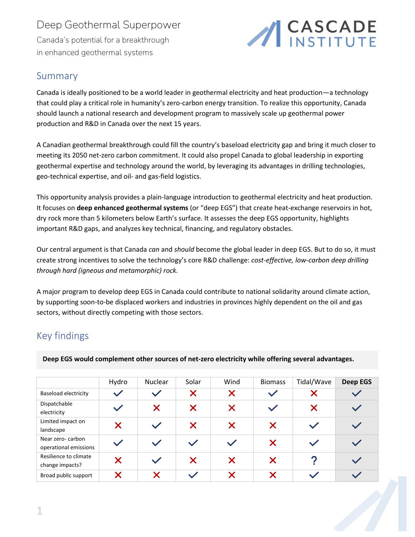## Deep Geothermal Superpower Canada's potential for a breakthrough in enhanced geothermal systems



## Summary

Canada is ideally positioned to be a world leader in geothermal electricity and heat production—a technology that could play a critical role in humanity's zero-carbon energy transition. To realize this opportunity, Canada should launch a national research and development program to massively scale up geothermal power production and R&D in Canada over the next 15 years.

A Canadian geothermal breakthrough could fill the country's baseload electricity gap and bring it much closer to meeting its 2050 net-zero carbon commitment. It could also propel Canada to global leadership in exporting geothermal expertise and technology around the world, by leveraging its advantages in drilling technologies, geo-technical expertise, and oil- and gas-field logistics.

This opportunity analysis provides a plain-language introduction to geothermal electricity and heat production. It focuses on **deep enhanced geothermal systems** (or "deep EGS") that create heat-exchange reservoirs in hot, dry rock more than 5 kilometers below Earth's surface. It assesses the deep EGS opportunity, highlights important R&D gaps, and analyzes key technical, financing, and regulatory obstacles.

Our central argument is that Canada *can* and *should* become the global leader in deep EGS. But to do so, it must create strong incentives to solve the technology's core R&D challenge: *cost-effective, low-carbon deep drilling through hard (igneous and metamorphic) rock.*

A major program to develop deep EGS in Canada could contribute to national solidarity around climate action, by supporting soon-to-be displaced workers and industries in provinces highly dependent on the oil and gas sectors, without directly competing with those sectors.

## Key findings

**Deep EGS would complement other sources of net-zero electricity while offering several advantages.**

|                                           | Hydro | Nuclear       | Solar         | Wind              | <b>Biomass</b> | Tidal/Wave    | <b>Deep EGS</b> |
|-------------------------------------------|-------|---------------|---------------|-------------------|----------------|---------------|-----------------|
| <b>Baseload electricity</b>               |       |               | X             | $\bm{\times}$     |                | X             |                 |
| Dispatchable<br>electricity               |       | $\bm{\times}$ | $\bm{\times}$ | $\bm{\times}$     |                | $\bm{\times}$ | $\checkmark$    |
| Limited impact on<br>landscape            | X     | $\checkmark$  | $\bm{\times}$ | $\bm{\times}$     | X              |               |                 |
| Near zero-carbon<br>operational emissions |       |               | $\checkmark$  | $\checkmark$      | X              |               |                 |
| Resilience to climate<br>change impacts?  |       |               | X             | $\bm{\times}$     | X              | 2             |                 |
| Broad public support                      |       | X             |               | $\bm{\mathsf{x}}$ |                |               |                 |